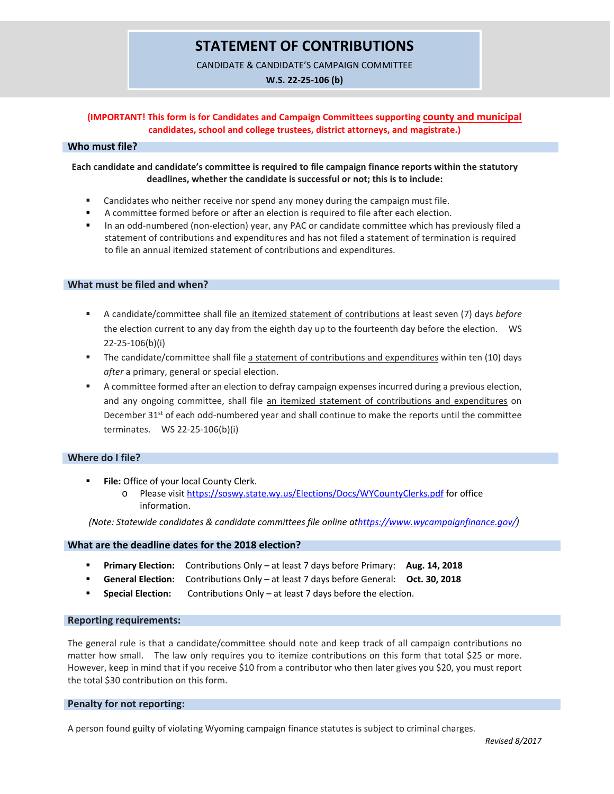### **STATEMENT OF CONTRIBUTIONS**

CANDIDATE & CANDIDATE'S CAMPAIGN COMMITTEE

**W.S. 22-25-106 (b)**

### **(IMPORTANT! This form is for Candidates and Campaign Committees supporting county and municipal candidates, school and college trustees, district attorneys, and magistrate.)**

### **Who must file?**

### **Each candidate and candidate's committee is required to file campaign finance reports within the statutory deadlines, whether the candidate is successful or not; this is to include:**

- **EXEC** Candidates who neither receive nor spend any money during the campaign must file.
- A committee formed before or after an election is required to file after each election.
- In an odd-numbered (non-election) year, any PAC or candidate committee which has previously filed a statement of contributions and expenditures and has not filed a statement of termination is required to file an annual itemized statement of contributions and expenditures.

### **What must be filed and when?**

- A candidate/committee shall file an itemized statement of contributions at least seven (7) days *before*  the election current to any day from the eighth day up to the fourteenth day before the election. WS 22-25-106(b)(i)
- The candidate/committee shall file a statement of contributions and expenditures within ten (10) days *after* a primary, general or special election.
- A committee formed after an election to defray campaign expenses incurred during a previous election, and any ongoing committee, shall file an itemized statement of contributions and expenditures on December 31<sup>st</sup> of each odd-numbered year and shall continue to make the reports until the committee terminates. WS 22-25-106(b)(i)

### **Where do I file?**

- **File:** Office of your local County Clerk.
	- o Please visi[t https://soswy.state.wy.us/Elections/Docs/WYCountyClerks.pdf](https://soswy.state.wy.us/Elections/Docs/WYCountyClerks.pdf) for office information.

 *(Note: Statewide candidates & candidate committees file online a[thttps://www.wycampaignfinance.gov/](https://www.wycampaignfinance.gov/))*

### **What are the deadline dates for the 2018 election?**

- **Primary Election:** Contributions Only at least 7 days before Primary: **Aug. 14, 2018**
- **General Election:** Contributions Only at least 7 days before General: **Oct. 30, 2018**
- **Special Election:** Contributions Only at least 7 days before the election.

#### **Reporting requirements:**

The general rule is that a candidate/committee should note and keep track of all campaign contributions no matter how small. The law only requires you to itemize contributions on this form that total \$25 or more. However, keep in mind that if you receive \$10 from a contributor who then later gives you \$20, you must report the total \$30 contribution on this form.

#### **Penalty for not reporting:**

A person found guilty of violating Wyoming campaign finance statutes is subject to criminal charges.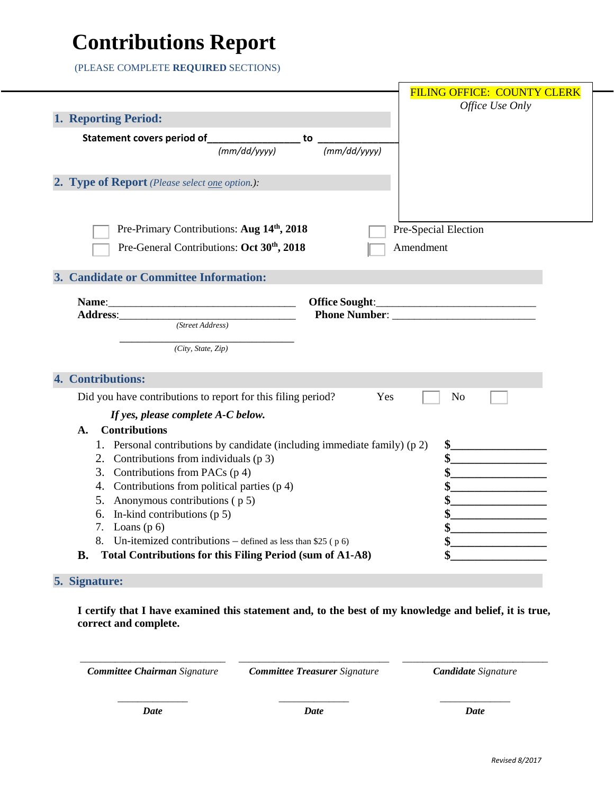# **Contributions Report**

(PLEASE COMPLETE **REQUIRED** SECTIONS)

|                                                                               | <b>FILING OFFICE: COUNTY CLERK</b>           |
|-------------------------------------------------------------------------------|----------------------------------------------|
|                                                                               | Office Use Only                              |
| 1. Reporting Period:                                                          |                                              |
| Statement covers period of__________________ to                               |                                              |
| (mm/dd/yyyy)<br>(mm/dd/yyyy)                                                  |                                              |
|                                                                               |                                              |
| 2. Type of Report (Please select <u>one</u> option.):                         |                                              |
|                                                                               |                                              |
|                                                                               |                                              |
| Pre-Primary Contributions: Aug 14 <sup>th</sup> , 2018                        | Pre-Special Election                         |
| Pre-General Contributions: Oct 30 <sup>th</sup> , 2018                        | Amendment                                    |
|                                                                               |                                              |
| 3. Candidate or Committee Information:                                        |                                              |
|                                                                               |                                              |
|                                                                               |                                              |
| (Street Address)                                                              |                                              |
|                                                                               |                                              |
| (City, State, Zip)                                                            |                                              |
|                                                                               |                                              |
| 4. Contributions:                                                             |                                              |
| Did you have contributions to report for this filing period?<br>Yes           | N <sub>0</sub>                               |
| If yes, please complete A-C below.                                            |                                              |
| <b>Contributions</b><br>A.                                                    |                                              |
| 1. Personal contributions by candidate (including immediate family) (p 2)     |                                              |
| 2. Contributions from individuals (p 3)                                       |                                              |
| 3. Contributions from PACs $(p 4)$                                            | <u> 1990 - Johann Barbara, martxa al</u>     |
| 4. Contributions from political parties (p 4)                                 |                                              |
| 5. Anonymous contributions (p 5)                                              | <u> 1990 - Johann Barbara, martxa al</u>     |
| 6. In-kind contributions $(p 5)$                                              | <u> 1989 - Andrea State</u>                  |
| 7. Loans $(p 6)$                                                              | the control of the control of the control of |
| 8. Un-itemized contributions – defined as less than \$25 ( $p 6$ )            |                                              |
| <b>Total Contributions for this Filing Period (sum of A1-A8)</b><br><b>B.</b> |                                              |
|                                                                               |                                              |

### **5. Signature:**

**I certify that I have examined this statement and, to the best of my knowledge and belief, it is true, correct and complete.**

*Committee Chairman Signature Committee Treasurer Signature Candidate Signature*

\_\_\_\_\_\_\_\_\_\_\_\_\_\_\_\_\_\_\_\_\_\_\_\_\_\_\_\_\_ \_\_\_\_\_\_\_\_\_\_\_\_\_\_\_\_\_\_\_\_\_\_\_\_\_\_\_\_\_\_ \_\_\_\_\_\_\_\_\_\_\_\_\_\_\_\_\_\_\_\_\_\_\_\_\_\_\_\_\_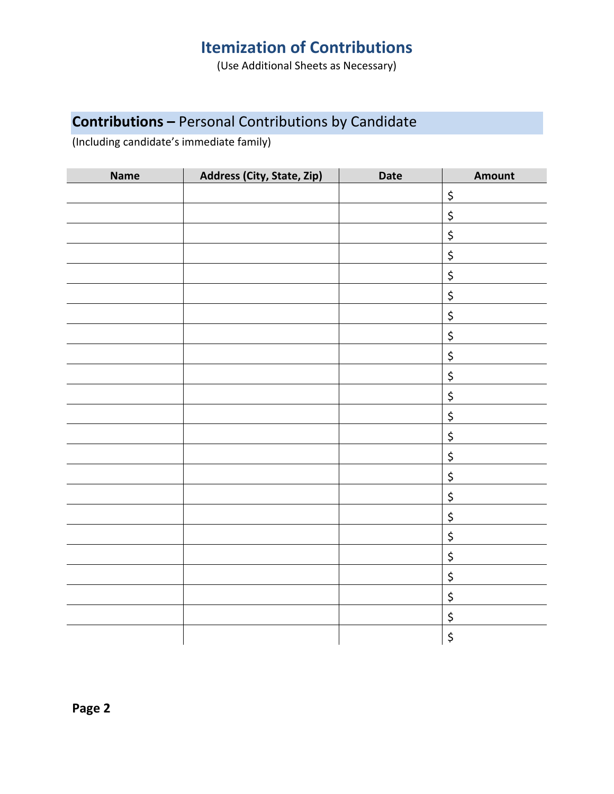## **Itemization of Contributions**

(Use Additional Sheets as Necessary)

## **Contributions –** Personal Contributions by Candidate

(Including candidate's immediate family)

| <b>Name</b> | Address (City, State, Zip) | Date | Amount                         |
|-------------|----------------------------|------|--------------------------------|
|             |                            |      | $\zeta$                        |
|             |                            |      | \$                             |
|             |                            |      | $\zeta$                        |
|             |                            |      | $\boldsymbol{\dot{\varsigma}}$ |
|             |                            |      | \$                             |
|             |                            |      | \$                             |
|             |                            |      | \$                             |
|             |                            |      | $\boldsymbol{\zeta}$           |
|             |                            |      | $\boldsymbol{\dot{\varsigma}}$ |
|             |                            |      | \$                             |
|             |                            |      | $\boldsymbol{\dot{\varsigma}}$ |
|             |                            |      | \$                             |
|             |                            |      | \$                             |
|             |                            |      | \$                             |
|             |                            |      | $\boldsymbol{\zeta}$           |
|             |                            |      | \$                             |
|             |                            |      | $\zeta$                        |
|             |                            |      | \$                             |
|             |                            |      | $\boldsymbol{\dot{\varsigma}}$ |
|             |                            |      | \$                             |
|             |                            |      | \$                             |
|             |                            |      | \$                             |
|             |                            |      | $\boldsymbol{\dot{\varsigma}}$ |

**Page 2**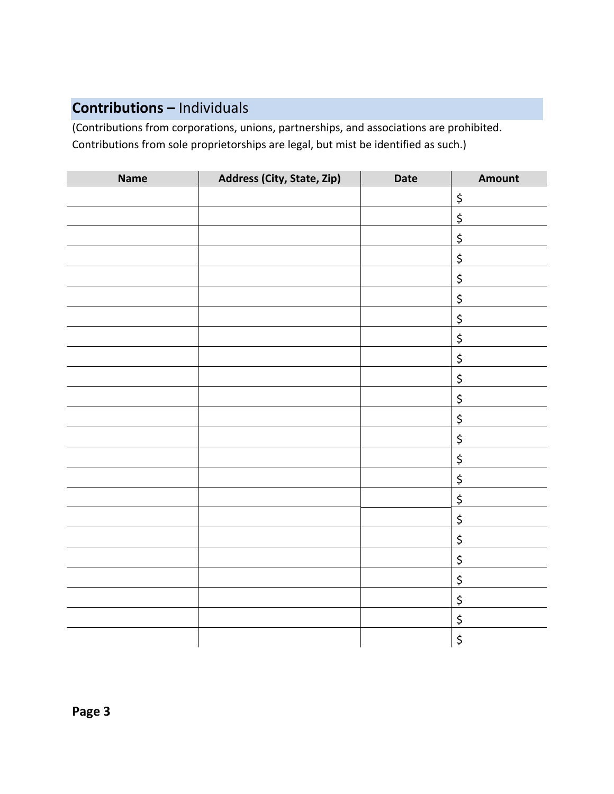## **Contributions –** Individuals

(Contributions from corporations, unions, partnerships, and associations are prohibited. Contributions from sole proprietorships are legal, but mist be identified as such.)

| <b>Name</b> | Address (City, State, Zip) | Date | Amount                         |
|-------------|----------------------------|------|--------------------------------|
|             |                            |      | \$                             |
|             |                            |      | $\zeta$                        |
|             |                            |      | $\boldsymbol{\dot{\varsigma}}$ |
|             |                            |      | $\zeta$                        |
|             |                            |      | \$                             |
|             |                            |      | $\boldsymbol{\dot{\varsigma}}$ |
|             |                            |      | $\boldsymbol{\dot{\varsigma}}$ |
|             |                            |      | \$                             |
|             |                            |      | $\zeta$                        |
|             |                            |      | $\zeta$                        |
|             |                            |      | $\boldsymbol{\dot{\varsigma}}$ |
|             |                            |      | $\zeta$                        |
|             |                            |      | \$                             |
|             |                            |      | $\boldsymbol{\dot{\varsigma}}$ |
|             |                            |      | $\zeta$                        |
|             |                            |      |                                |
|             |                            |      | $\zeta$                        |
|             |                            |      | \$                             |
|             |                            |      | $\zeta$                        |
|             |                            |      | $\boldsymbol{\dot{\varsigma}}$ |
|             |                            |      | \$                             |
|             |                            |      | $\boldsymbol{\dot{\varsigma}}$ |
|             |                            |      | $\zeta$                        |
|             |                            |      | \$                             |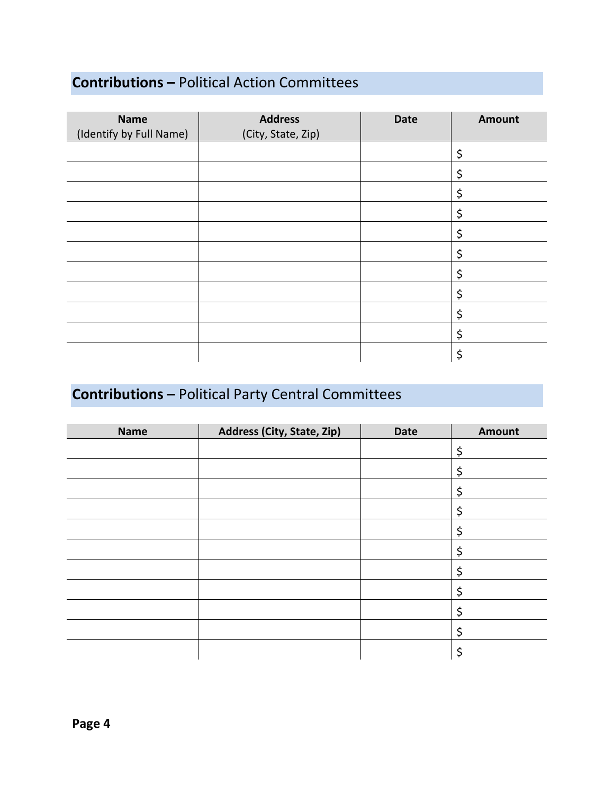## **Contributions –** Political Action Committees

| <b>Name</b><br>(Identify by Full Name) | <b>Address</b><br>(City, State, Zip) | <b>Date</b> | Amount |
|----------------------------------------|--------------------------------------|-------------|--------|
|                                        |                                      |             | \$     |
|                                        |                                      |             | \$     |
|                                        |                                      |             | \$     |
|                                        |                                      |             | \$     |
|                                        |                                      |             | \$     |
|                                        |                                      |             | \$     |
|                                        |                                      |             | \$     |
|                                        |                                      |             | \$     |
|                                        |                                      |             | \$     |
|                                        |                                      |             | \$     |
|                                        |                                      |             | \$     |

## **Contributions –** Political Party Central Committees

| <b>Name</b> | Address (City, State, Zip) | <b>Date</b> | <b>Amount</b> |
|-------------|----------------------------|-------------|---------------|
|             |                            |             | \$            |
|             |                            |             | \$            |
|             |                            |             | \$            |
|             |                            |             | \$            |
|             |                            |             | \$            |
|             |                            |             | \$            |
|             |                            |             | Ş             |
|             |                            |             | Ş             |
|             |                            |             | \$            |
|             |                            |             | \$            |
|             |                            |             | \$            |

**Page 4**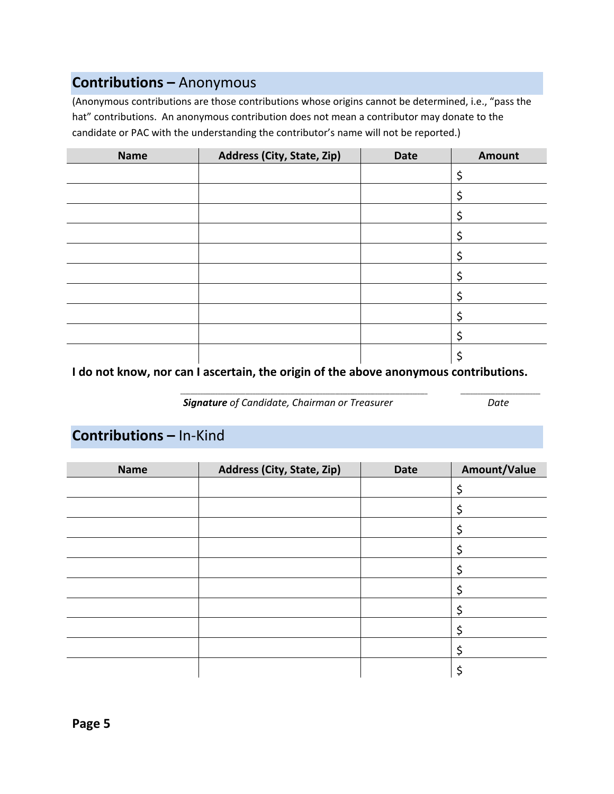## **Contributions –** Anonymous

(Anonymous contributions are those contributions whose origins cannot be determined, i.e., "pass the hat" contributions. An anonymous contribution does not mean a contributor may donate to the candidate or PAC with the understanding the contributor's name will not be reported.)

| <b>Name</b> | Address (City, State, Zip) | <b>Date</b> | <b>Amount</b> |
|-------------|----------------------------|-------------|---------------|
|             |                            |             |               |
|             |                            |             | Ş             |
|             |                            |             |               |
|             |                            |             | Ç             |
|             |                            |             | Ş             |
|             |                            |             | Ç             |
|             |                            |             |               |
|             |                            |             |               |
|             |                            |             |               |
|             |                            |             |               |

I do not know, nor can I ascertain, the origin of the above anonymous contributions.

*Signature of Candidate, Chairman or Treasurer Date*

**\_\_\_\_\_\_\_\_\_\_\_\_\_\_\_\_\_\_\_\_\_\_\_\_\_\_\_\_\_\_\_\_\_\_\_\_\_\_\_\_\_\_\_\_\_\_\_\_\_\_\_\_\_\_\_\_\_\_\_\_\_\_\_\_\_\_\_\_\_\_\_\_\_\_\_\_\_\_\_\_\_\_\_\_\_\_\_\_\_\_\_\_\_\_\_\_\_\_\_ \_\_\_\_\_\_\_\_\_\_\_\_\_\_\_\_\_\_\_\_\_\_\_\_\_\_\_\_\_\_\_\_**

## **Contributions –** In‐Kind

| <b>Name</b> | Address (City, State, Zip) | <b>Date</b> | Amount/Value |
|-------------|----------------------------|-------------|--------------|
|             |                            |             | \$           |
|             |                            |             |              |
|             |                            |             |              |
|             |                            |             | ⊋            |
|             |                            |             |              |
|             |                            |             | Ş            |
|             |                            |             |              |
|             |                            |             |              |
|             |                            |             | Ş            |
|             |                            |             |              |